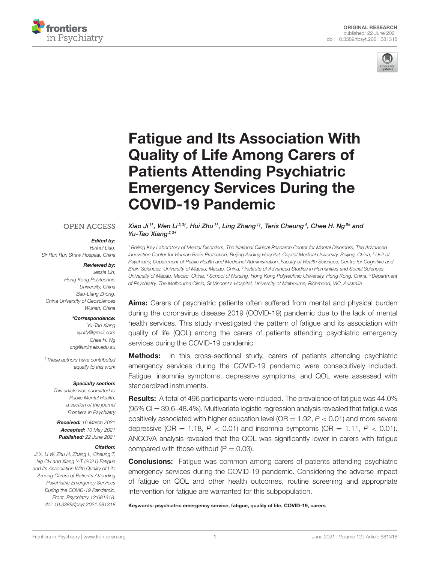



# Fatigue and Its Association With Quality of Life Among Carers of Patients Attending Psychiatric [Emergency Services During the](https://www.frontiersin.org/articles/10.3389/fpsyt.2021.681318/full) COVID-19 Pandemic

#### **OPEN ACCESS**

#### Edited by:

*Yanhui Liao, Sir Run Run Shaw Hospital, China*

#### Reviewed by:

*Jessie Lin, Hong Kong Polytechnic University, China Bao-Liang Zhong, China University of Geosciences Wuhan, China*

#### \*Correspondence:

*Yu-Tao Xiang [xyutly@gmail.com](mailto:xyutly@gmail.com) Chee H. Ng [cng@unimelb.edu.au](mailto:cng@unimelb.edu.au)*

*†These authors have contributed equally to this work*

#### Specialty section:

*This article was submitted to Public Mental Health, a section of the journal Frontiers in Psychiatry*

Received: *16 March 2021* Accepted: *10 May 2021* Published: *22 June 2021*

#### Citation:

*Ji X, Li W, Zhu H, Zhang L, Cheung T, Ng CH and Xiang Y-T (2021) Fatigue and Its Association With Quality of Life Among Carers of Patients Attending Psychiatric Emergency Services During the COVID-19 Pandemic. Front. Psychiatry 12:681318. doi: [10.3389/fpsyt.2021.681318](https://doi.org/10.3389/fpsyt.2021.681318)* Xiao Ji<sup>1†</sup>, Wen Li<sup>2,3†</sup>, Hui Zhu<sup>1†</sup>, Ling Zhang<sup>1†</sup>, Teris Cheung<sup>4</sup>, Chee H. Ng<sup>5</sup>\* and Yu-Tao Xiang<sup>2,3\*</sup>

*<sup>1</sup> Beijing Key Laboratory of Mental Disorders, The National Clinical Research Center for Mental Disorders, The Advanced Innovation Center for Human Brain Protection, Beijing Anding Hospital, Capital Medical University, Beijing, China, <sup>2</sup> Unit of Psychiatry, Department of Public Health and Medicinal Administration, Faculty of Health Sciences, Centre for Cognitive and Brain Sciences, University of Macau, Macao, China, <sup>3</sup> Institute of Advanced Studies in Humanities and Social Sciences, University of Macau, Macao, China, <sup>4</sup> School of Nursing, Hong Kong Polytechnic University, Hong Kong, China, <sup>5</sup> Department of Psychiatry, The Melbourne Clinic, St Vincent's Hospital, University of Melbourne, Richmond, VIC, Australia*

Aims: Carers of psychiatric patients often suffered from mental and physical burden during the coronavirus disease 2019 (COVID-19) pandemic due to the lack of mental health services. This study investigated the pattern of fatigue and its association with quality of life (QOL) among the carers of patients attending psychiatric emergency services during the COVID-19 pandemic.

**Methods:** In this cross-sectional study, carers of patients attending psychiatric emergency services during the COVID-19 pandemic were consecutively included. Fatigue, insomnia symptoms, depressive symptoms, and QOL were assessed with standardized instruments.

Results: A total of 496 participants were included. The prevalence of fatigue was 44.0%  $(95\% \text{ CI} = 39.6-48.4\%).$  Multivariate logistic regression analysis revealed that fatigue was positively associated with higher education level (OR = 1.92, *P* < 0.01) and more severe depressive (OR  $=$  1.18,  $P < 0.01$ ) and insomnia symptoms (OR  $=$  1.11,  $P < 0.01$ ). ANCOVA analysis revealed that the QOL was significantly lower in carers with fatigue compared with those without  $(P = 0.03)$ .

**Conclusions:** Fatigue was common among carers of patients attending psychiatric emergency services during the COVID-19 pandemic. Considering the adverse impact of fatigue on QOL and other health outcomes, routine screening and appropriate intervention for fatigue are warranted for this subpopulation.

Keywords: psychiatric emergency service, fatigue, quality of life, COVID-19, carers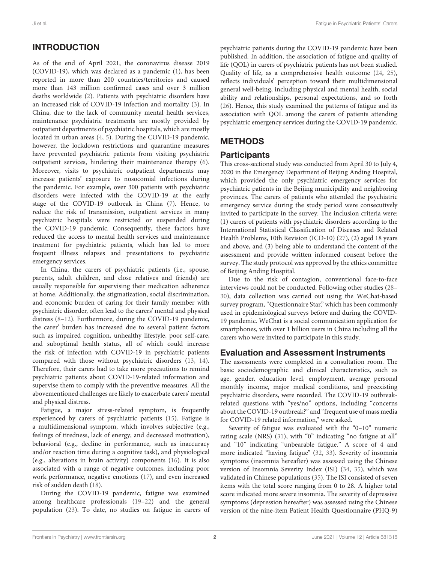# INTRODUCTION

As of the end of April 2021, the coronavirus disease 2019 (COVID-19), which was declared as a pandemic [\(1\)](#page-4-0), has been reported in more than 200 countries/territories and caused more than 143 million confirmed cases and over 3 million deaths worldwide [\(2\)](#page-4-1). Patients with psychiatric disorders have an increased risk of COVID-19 infection and mortality [\(3\)](#page-4-2). In China, due to the lack of community mental health services, maintenance psychiatric treatments are mostly provided by outpatient departments of psychiatric hospitals, which are mostly located in urban areas [\(4,](#page-4-3) [5\)](#page-4-4). During the COVID-19 pandemic, however, the lockdown restrictions and quarantine measures have prevented psychiatric patients from visiting psychiatric outpatient services, hindering their maintenance therapy [\(6\)](#page-4-5). Moreover, visits to psychiatric outpatient departments may increase patients' exposure to nosocomial infections during the pandemic. For example, over 300 patients with psychiatric disorders were infected with the COVID-19 at the early stage of the COVID-19 outbreak in China [\(7\)](#page-4-6). Hence, to reduce the risk of transmission, outpatient services in many psychiatric hospitals were restricted or suspended during the COVID-19 pandemic. Consequently, these factors have reduced the access to mental health services and maintenance treatment for psychiatric patients, which has led to more frequent illness relapses and presentations to psychiatric emergency services.

In China, the carers of psychiatric patients (i.e., spouse, parents, adult children, and close relatives and friends) are usually responsible for supervising their medication adherence at home. Additionally, the stigmatization, social discrimination, and economic burden of caring for their family member with psychiatric disorder, often lead to the carers' mental and physical distress [\(8–](#page-4-7)[12\)](#page-4-8). Furthermore, during the COVID-19 pandemic, the carer' burden has increased due to several patient factors such as impaired cognition, unhealthy lifestyle, poor self-care, and suboptimal health status, all of which could increase the risk of infection with COVID-19 in psychiatric patients compared with those without psychiatric disorders [\(13,](#page-4-9) [14\)](#page-4-10). Therefore, their carers had to take more precautions to remind psychiatric patients about COVID-19-related information and supervise them to comply with the preventive measures. All the abovementioned challenges are likely to exacerbate carers' mental and physical distress.

Fatigue, a major stress-related symptom, is frequently experienced by carers of psychiatric patients [\(15\)](#page-4-11). Fatigue is a multidimensional symptom, which involves subjective (e.g., feelings of tiredness, lack of energy, and decreased motivation), behavioral (e.g., decline in performance, such as inaccuracy and/or reaction time during a cognitive task), and physiological (e.g., alterations in brain activity) components [\(16\)](#page-4-12). It is also associated with a range of negative outcomes, including poor work performance, negative emotions [\(17\)](#page-4-13), and even increased risk of sudden death [\(18\)](#page-4-14).

During the COVID-19 pandemic, fatigue was examined among healthcare professionals [\(19–](#page-4-15)[22\)](#page-4-16) and the general population [\(23\)](#page-4-17). To date, no studies on fatigue in carers of psychiatric patients during the COVID-19 pandemic have been published. In addition, the association of fatigue and quality of life (QOL) in carers of psychiatric patients has not been studied. Quality of life, as a comprehensive health outcome [\(24,](#page-4-18) [25\)](#page-4-19), reflects individuals' perception toward their multidimensional general well-being, including physical and mental health, social ability and relationships, personal expectations, and so forth [\(26\)](#page-4-20). Hence, this study examined the patterns of fatigue and its association with QOL among the carers of patients attending psychiatric emergency services during the COVID-19 pandemic.

# **METHODS**

## **Participants**

This cross-sectional study was conducted from April 30 to July 4, 2020 in the Emergency Department of Beijing Anding Hospital, which provided the only psychiatric emergency services for psychiatric patients in the Beijing municipality and neighboring provinces. The carers of patients who attended the psychiatric emergency service during the study period were consecutively invited to participate in the survey. The inclusion criteria were: (1) carers of patients with psychiatric disorders according to the International Statistical Classification of Diseases and Related Health Problems, 10th Revision (ICD-10) [\(27\)](#page-4-21), (2) aged 18 years and above, and (3) being able to understand the content of the assessment and provide written informed consent before the survey. The study protocol was approved by the ethics committee of Beijing Anding Hospital.

Due to the risk of contagion, conventional face-to-face interviews could not be conducted. Following other studies [\(28–](#page-4-22) [30\)](#page-4-23), data collection was carried out using the WeChat-based survey program, "Questionnaire Star," which has been commonly used in epidemiological surveys before and during the COVID-19 pandemic. WeChat is a social communication application for smartphones, with over 1 billion users in China including all the carers who were invited to participate in this study.

## Evaluation and Assessment Instruments

The assessments were completed in a consultation room. The basic sociodemographic and clinical characteristics, such as age, gender, education level, employment, average personal monthly income, major medical conditions, and preexisting psychiatric disorders, were recorded. The COVID-19 outbreakrelated questions with "yes/no" options, including "concerns about the COVID-19 outbreak?" and "frequent use of mass media for COVID-19 related information," were asked.

Severity of fatigue was evaluated with the "0–10" numeric rating scale (NRS) [\(31\)](#page-5-0), with "0" indicating "no fatigue at all" and "10" indicating "unbearable fatigue." A score of 4 and more indicated "having fatigue" [\(32,](#page-5-1) [33\)](#page-5-2). Severity of insomnia symptoms (insomnia hereafter) was assessed using the Chinese version of Insomnia Severity Index (ISI) [\(34,](#page-5-3) [35\)](#page-5-4), which was validated in Chinese populations [\(35\)](#page-5-4). The ISI consisted of seven items with the total score ranging from 0 to 28. A higher total score indicated more severe insomnia. The severity of depressive symptoms (depression hereafter) was assessed using the Chinese version of the nine-item Patient Health Questionnaire (PHQ-9)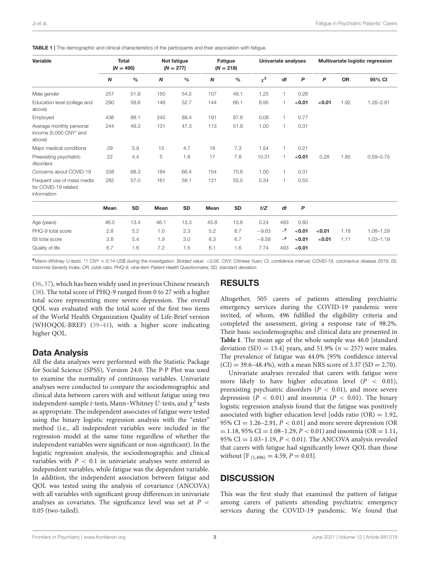| Variable                                                          | <b>Total</b><br>$(N = 495)$ |               | Not fatigue<br>$(N = 277)$ |               | Fatigue<br>$(N = 218)$ |               | Univariate analyses |           |        | Multivariate logistic regression |           |               |
|-------------------------------------------------------------------|-----------------------------|---------------|----------------------------|---------------|------------------------|---------------|---------------------|-----------|--------|----------------------------------|-----------|---------------|
|                                                                   | N                           | $\frac{0}{0}$ | N                          | $\frac{0}{0}$ | $\boldsymbol{N}$       | $\frac{0}{0}$ | $\chi^2$            | df        | P      | P                                | <b>OR</b> | 95% CI        |
| Male gender                                                       | 257                         | 51.9          | 150                        | 54.2          | 107                    | 49.1          | 1.25                | 1         | 0.26   |                                  |           |               |
| Education level (college and<br>above)                            | 290                         | 58.6          | 146                        | 52.7          | 144                    | 66.1          | 8.95                | 1         | < 0.01 | < 0.01                           | 1.92      | $1.26 - 2.91$ |
| Employed                                                          | 436                         | 88.1          | 245                        | 88.4          | 191                    | 87.6          | 0.08                | 1         | 0.77   |                                  |           |               |
| Average monthly personal<br>income (5,000 CNY* and<br>above)      | 244                         | 49.3          | 131                        | 47.3          | 113                    | 51.8          | 1.00                | 1         | 0.31   |                                  |           |               |
| Major medical conditions                                          | 29                          | 5.9           | 13                         | 4.7           | 16                     | 7.3           | 1.54                | 1         | 0.21   |                                  |           |               |
| Preexisting psychiatric<br>disorders                              | 22                          | 4.4           | 5                          | 1.8           | 17                     | 7.8           | 10.31               | 1         | < 0.01 | 0.28                             | 1.85      | $0.59 - 5.75$ |
| Concerns about COVID-19                                           | 338                         | 68.3          | 184                        | 66.4          | 154                    | 70.6          | 1.00                | 1         | 0.31   |                                  |           |               |
| Frequent use of mass media<br>for COVID-19 related<br>information | 282                         | 57.0          | 161                        | 58.1          | 121                    | 55.5          | 0.34                | 1         | 0.55   |                                  |           |               |
|                                                                   | Mean                        | <b>SD</b>     | Mean                       | <b>SD</b>     | Mean                   | SD            | t/Z                 | df        | P      |                                  |           |               |
| Age (years)                                                       | 46.0                        | 13.4          | 46.1                       | 13.3          | 45.8                   | 13.6          | 0.24                | 493       | 0.80   |                                  |           |               |
| PHQ-9 total score                                                 | 2.8                         | 5.2           | 1.0                        | 2.3           | 5.2                    | 6.7           | $-9.63$             | $\_^{\#}$ | < 0.01 | < 0.01                           | 1.18      | 1.08-1.29     |
| ISI total score                                                   | 3.8                         | 5.4           | 1.9                        | 3.0           | 6.3                    | 6.7           | $-8.58$             | $-$ #     | < 0.01 | < 0.01                           | 1.11      | $1.03 - 1.19$ |
| Quality of life                                                   | 6.7                         | 1.6           | 7.2                        | 1.5           | 6.1                    | 1.6           | 7.74                | 493       | < 0.01 |                                  |           |               |

<span id="page-2-0"></span>TABLE 1 | The demographic and clinical characteristics of the participants and their association with fatigue.

#*Mann–Whitney U-tests.* \**1 CNY* ≈ *0.14 US\$ during the investigation. Bolded value:* <*0.05. CNY, Chinese Yuan; CI, confidence interval; COVID-19, coronavirus disease 2019; ISI, Insomnia Severity Index; OR, odds ratio; PHQ-9, nine-item Patient Health Questionnaire; SD, standard deviation.*

[\(36,](#page-5-5) [37\)](#page-5-6), which has been widely used in previous Chinese research [\(38\)](#page-5-7). The total score of PHQ-9 ranged from 0 to 27 with a higher total score representing more severe depression. The overall QOL was evaluated with the total score of the first two items of the World Health Organization Quality of Life-Brief version (WHOQOL-BREF) [\(39](#page-5-8)[–41\)](#page-5-9), with a higher score indicating higher QOL.

# Data Analysis

All the data analyses were performed with the Statistic Package for Social Science (SPSS), Version 24.0. The P-P Plot was used to examine the normality of continuous variables. Univariate analyses were conducted to compare the sociodemographic and clinical data between carers with and without fatigue using two independent-sample t-tests, Mann–Whitney  $U$ -tests, and  $\chi^2$  tests as appropriate. The independent associates of fatigue were tested using the binary logistic regression analysis with the "enter" method (i.e., all independent variables were included in the regression model at the same time regardless of whether the independent variables were significant or non-significant). In the logistic regression analysis, the sociodemographic and clinical variables with  $P < 0.1$  in univariate analyses were entered as independent variables, while fatigue was the dependent variable. In addition, the independent association between fatigue and QOL was tested using the analysis of covariance (ANCOVA) with all variables with significant group differences in univariate analyses as covariates. The significance level was set at  $P <$ 0.05 (two-tailed).

# RESULTS

Altogether, 505 carers of patients attending psychiatric emergency services during the COVID-19 pandemic were invited, of whom, 496 fulfilled the eligibility criteria and completed the assessment, giving a response rate of 98.2%. Their basic sociodemographic and clinical data are presented in **[Table 1](#page-2-0)**. The mean age of the whole sample was 46.0 [standard deviation  $(SD) = 13.4$  years, and 51.9% ( $n = 257$ ) were males. The prevalence of fatigue was 44.0% [95% confidence interval  $(CI) = 39.6 - 48.4\%$ , with a mean NRS score of 3.37 (SD = 2.70).

Univariate analyses revealed that carers with fatigue were more likely to have higher education level  $(P < 0.01)$ , preexisting psychiatric disorders ( $P < 0.01$ ), and more severe depression ( $P < 0.01$ ) and insomnia ( $P < 0.01$ ). The binary logistic regression analysis found that the fatigue was positively associated with higher education level [odds ratio  $(OR) = 1.92$ , 95% CI =  $1.26-2.91$ ,  $P < 0.01$  and more severe depression (OR  $= 1.18, 95\% \text{ CI} = 1.08 - 1.29, P < 0.01$ ) and insomnia (OR = 1.11, 95% CI = 1.03-1.19,  $P < 0.01$ ). The ANCOVA analysis revealed that carers with fatigue had significantly lower QOL than those without [F<sub>(1,496)</sub> = 4.59,  $P = 0.03$ ].

# **DISCUSSION**

This was the first study that examined the pattern of fatigue among carers of patients attending psychiatric emergency services during the COVID-19 pandemic. We found that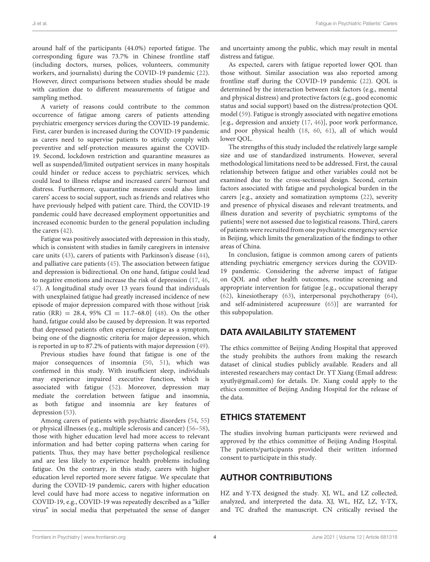around half of the participants (44.0%) reported fatigue. The corresponding figure was 73.7% in Chinese frontline staff (including doctors, nurses, polices, volunteers, community workers, and journalists) during the COVID-19 pandemic [\(22\)](#page-4-16). However, direct comparisons between studies should be made with caution due to different measurements of fatigue and sampling method.

A variety of reasons could contribute to the common occurrence of fatigue among carers of patients attending psychiatric emergency services during the COVID-19 pandemic. First, carer burden is increased during the COVID-19 pandemic as carers need to supervise patients to strictly comply with preventive and self-protection measures against the COVID-19. Second, lockdown restriction and quarantine measures as well as suspended/limited outpatient services in many hospitals could hinder or reduce access to psychiatric services, which could lead to illness relapse and increased carers' burnout and distress. Furthermore, quarantine measures could also limit carers' access to social support, such as friends and relatives who have previously helped with patient care. Third, the COVID-19 pandemic could have decreased employment opportunities and increased economic burden to the general population including the carers [\(42\)](#page-5-10).

Fatigue was positively associated with depression in this study, which is consistent with studies in family caregivers in intensive care units [\(43\)](#page-5-11), carers of patients with Parkinson's disease [\(44\)](#page-5-12), and palliative care patients [\(45\)](#page-5-13). The association between fatigue and depression is bidirectional. On one hand, fatigue could lead to negative emotions and increase the risk of depression [\(17,](#page-4-13) [46,](#page-5-14) [47\)](#page-5-15). A longitudinal study over 13 years found that individuals with unexplained fatigue had greatly increased incidence of new episode of major depression compared with those without [risk ratio (RR) = 28.4, 95% CI = 11.7-68.0] [\(48\)](#page-5-16). On the other hand, fatigue could also be caused by depression. It was reported that depressed patients often experience fatigue as a symptom, being one of the diagnostic criteria for major depression, which is reported in up to 87.2% of patients with major depression [\(49\)](#page-5-17).

Previous studies have found that fatigue is one of the major consequences of insomnia [\(50,](#page-5-18) [51\)](#page-5-19), which was confirmed in this study. With insufficient sleep, individuals may experience impaired executive function, which is associated with fatigue [\(52\)](#page-5-20). Moreover, depression may mediate the correlation between fatigue and insomnia, as both fatigue and insomnia are key features of depression [\(53\)](#page-5-21).

Among carers of patients with psychiatric disorders [\(54,](#page-5-22) [55\)](#page-5-23) or physical illnesses (e.g., multiple sclerosis and cancer) [\(56–](#page-5-24)[58\)](#page-5-25), those with higher education level had more access to relevant information and had better coping patterns when caring for patients. Thus, they may have better psychological resilience and are less likely to experience health problems including fatigue. On the contrary, in this study, carers with higher education level reported more severe fatigue. We speculate that during the COVID-19 pandemic, carers with higher education level could have had more access to negative information on COVID-19, e.g., COVID-19 was repeatedly described as a "killer virus" in social media that perpetuated the sense of danger and uncertainty among the public, which may result in mental distress and fatigue.

As expected, carers with fatigue reported lower QOL than those without. Similar association was also reported among frontline staff during the COVID-19 pandemic [\(22\)](#page-4-16). QOL is determined by the interaction between risk factors (e.g., mental and physical distress) and protective factors (e.g., good economic status and social support) based on the distress/protection QOL model [\(59\)](#page-5-26). Fatigue is strongly associated with negative emotions [e.g., depression and anxiety [\(17,](#page-4-13) [46\)](#page-5-14)], poor work performance, and poor physical health [\(18,](#page-4-14) [60,](#page-5-27) [61\)](#page-5-28), all of which would lower QOL.

The strengths of this study included the relatively large sample size and use of standardized instruments. However, several methodological limitations need to be addressed. First, the causal relationship between fatigue and other variables could not be examined due to the cross-sectional design. Second, certain factors associated with fatigue and psychological burden in the carers [e.g., anxiety and somatization symptoms [\(22\)](#page-4-16), severity and presence of physical diseases and relevant treatments, and illness duration and severity of psychiatric symptoms of the patients] were not assessed due to logistical reasons. Third, carers of patients were recruited from one psychiatric emergency service in Beijing, which limits the generalization of the findings to other areas of China.

In conclusion, fatigue is common among carers of patients attending psychiatric emergency services during the COVID-19 pandemic. Considering the adverse impact of fatigue on QOL and other health outcomes, routine screening and appropriate intervention for fatigue [e.g., occupational therapy [\(62\)](#page-5-29), kinesiotherapy [\(63\)](#page-5-30), interpersonal psychotherapy [\(64\)](#page-5-31), and self-administered acupressure [\(65\)](#page-5-32)] are warranted for this subpopulation.

# DATA AVAILABILITY STATEMENT

The ethics committee of Beijing Anding Hospital that approved the study prohibits the authors from making the research dataset of clinical studies publicly available. Readers and all interested researchers may contact Dr. YT Xiang (Email address: [xyutly@gmail.com\)](mailto:xyutly@gmail.com) for details. Dr. Xiang could apply to the ethics committee of Beijing Anding Hospital for the release of the data.

# ETHICS STATEMENT

The studies involving human participants were reviewed and approved by the ethics committee of Beijing Anding Hospital. The patients/participants provided their written informed consent to participate in this study.

# AUTHOR CONTRIBUTIONS

HZ and Y-TX designed the study. XJ, WL, and LZ collected, analyzed, and interpreted the data. XJ, WL, HZ, LZ, Y-TX, and TC drafted the manuscript. CN critically revised the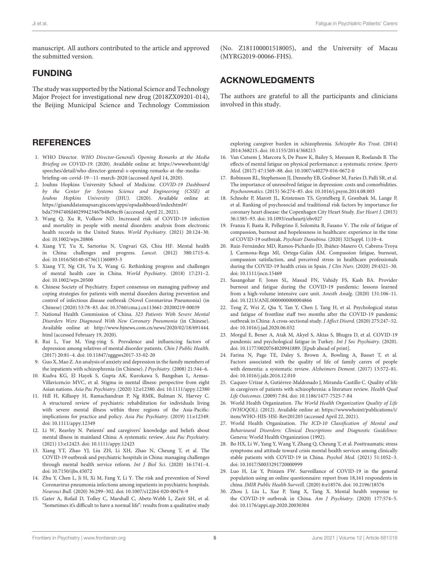manuscript. All authors contributed to the article and approved the submitted version.

### FUNDING

The study was supported by the National Science and Technology Major Project for investigational new drug (2018ZX09201-014), the Beijing Municipal Science and Technology Commission

## **REFERENCES**

- <span id="page-4-0"></span>1. WHO Director. WHO Director-General's Opening Remarks at the Media Briefing on COVID-19. (2020). Available online at: [https://wwwwhoint/dg/](https://wwwwhoint/dg/speeches/detail/who-director-general-s-opening-remarks-at-the-media-briefing-on-covid-19--11-march-2020) [speeches/detail/who-director-general-s-opening-remarks-at-the-media](https://wwwwhoint/dg/speeches/detail/who-director-general-s-opening-remarks-at-the-media-briefing-on-covid-19--11-march-2020)[briefing-on-covid-19--11-march-2020](https://wwwwhoint/dg/speeches/detail/who-director-general-s-opening-remarks-at-the-media-briefing-on-covid-19--11-march-2020) (accessed April 14, 2020).
- <span id="page-4-1"></span>2. Jouhns Hopkins University School of Medicine. COVID-19 Dashboard by the Center for Systems Science and Engineering (CSSE) at Jouhns Hopkins University (JHU). (2020). Available online at: [https://gisanddatamapsarcgiscom/apps/opsdashboard/indexhtml#/](https://gisanddatamapsarcgiscom/apps/opsdashboard/indexhtml#/bda7594740fd40299423467b48e9ecf6) [bda7594740fd40299423467b48e9ecf6](https://gisanddatamapsarcgiscom/apps/opsdashboard/indexhtml#/bda7594740fd40299423467b48e9ecf6) (accessed April 21, 2021).
- <span id="page-4-2"></span>3. Wang Q, Xu R, Volkow ND. Increased risk of COVID-19 infection and mortality in people with mental disorders: analysis from electronic health records in the United States. World Psychiatry. (2021) 20:124–30. doi: [10.1002/wps.20806](https://doi.org/10.1002/wps.20806)
- <span id="page-4-3"></span>4. Xiang YT, Yu X, Sartorius N, Ungvari GS, Chiu HF. Mental health in China: challenges and progress. Lancet. (2012) 380:1715–6. doi: [10.1016/S0140-6736\(11\)60893-3](https://doi.org/10.1016/S0140-6736(11)60893-3)
- <span id="page-4-4"></span>5. Xiang YT, Ng CH, Yu X, Wang G. Rethinking progress and challenges of mental health care in China. World Psychiatry. (2018) 17:231–2. doi: [10.1002/wps.20500](https://doi.org/10.1002/wps.20500)
- <span id="page-4-5"></span>6. Chinese Society of Psychiatry. Expert consensus on managing pathway and coping strategies for patients with mental disorders during prevention and control of infectious disease outbreak (Novel Coronavirus Pneumonia) (in Chinese) (2020) 53:78–83. doi: [10.3760/cma.j.cn113661-20200219-00039](https://doi.org/10.3760/cma.j.cn113661-20200219-00039)
- <span id="page-4-6"></span>7. National Health Commission of China. 323 Patients With Severe Mental Disorders Were Diagnosed With New Coronary Pneumonia (in Chinese). Available online at: [http://www.bjnews.com.cn/news/2020/02/18/691444.](http://www.bjnews.com.cn/news/2020/02/18/691444.html) [html](http://www.bjnews.com.cn/news/2020/02/18/691444.html) (accessed February 19, 2020).
- <span id="page-4-7"></span>8. Rui L, Yue M, Ying-ying S. Prevalence and influencing factors of depression among relatives of mental disorder patients. Chin J Public Health. (2017) 20:81–4. doi: [10.11847/zgggws2017-33-02-20](https://doi.org/10.11847/zgggws2017-33-02-20)
- 9. Guo X, Mao Z. An analysis of anxiety and depression in the family members of the inpatients with schizophrenia (in Chinese). J Psychiatry. (2008) 21:344–6.
- 10. Kudva KG, El Hayek S, Gupta AK, Kurokawa S, Bangshan L, Armas-Villavicencio MVC, et al. Stigma in mental illness: perspective from eight Asian nations. Asia Pac Psychiatry. (2020) 12:e12380. doi: [10.1111/appy.12380](https://doi.org/10.1111/appy.12380)
- 11. Hill H, Killaspy H, Ramachandran P, Ng RMK, Bulman N, Harvey C. A structured review of psychiatric rehabilitation for individuals living with severe mental illness within three regions of the Asia-Pacific: implications for practice and policy. Asia Pac Psychiatry. (2019) 11:e12349. doi: [10.1111/appy.12349](https://doi.org/10.1111/appy.12349)
- <span id="page-4-8"></span>12. Li W, Reavley N. Patients' and caregivers' knowledge and beliefs about mental illness in mainland China: A systematic review. Asia Pac Psychiatry. (2021) 13:e12423. doi: [10.1111/appy.12423](https://doi.org/10.1111/appy.12423)
- <span id="page-4-9"></span>13. Xiang YT, Zhao YJ, Liu ZH, Li XH, Zhao N, Cheung T, et al. The COVID-19 outbreak and psychiatric hospitals in China: managing challenges through mental health service reform. Int J Biol Sci. (2020) 16:1741–4. doi: [10.7150/ijbs.45072](https://doi.org/10.7150/ijbs.45072)
- <span id="page-4-10"></span>14. Zhu Y, Chen L, Ji H, Xi M, Fang Y, Li Y. The risk and prevention of Novel Coronavirus pneumonia infections among inpatients in psychiatric hospitals. Neurosci Bull. (2020) 36:299–302. doi: [10.1007/s12264-020-00476-9](https://doi.org/10.1007/s12264-020-00476-9)
- <span id="page-4-11"></span>15. Gater A, Rofail D, Tolley C, Marshall C, Abetz-Webb L, Zarit SH, et al. "Sometimes it's difficult to have a normal life": results from a qualitative study

(No. Z181100001518005), and the University of Macau (MYRG2019-00066-FHS).

## ACKNOWLEDGMENTS

The authors are grateful to all the participants and clinicians involved in this study.

exploring caregiver burden in schizophrenia. Schizophr Res Treat. (2014) 2014:368215. doi: [10.1155/2014/368215](https://doi.org/10.1155/2014/368215)

- <span id="page-4-12"></span>16. Van Cutsem J, Marcora S, De Pauw K, Bailey S, Meeusen R, Roelands B. The effects of mental fatigue on physical performance: a systematic review. Sports Med. (2017) 47:1569–88. doi: [10.1007/s40279-016-0672-0](https://doi.org/10.1007/s40279-016-0672-0)
- <span id="page-4-13"></span>17. Robinson RL, Stephenson JJ, Dennehy EB, Grabner M, Faries D, Palli SR, et al. The importance of unresolved fatigue in depression: costs and comorbidities. Psychosomatics. (2015) 56:274–85. doi: [10.1016/j.psym.2014.08.003](https://doi.org/10.1016/j.psym.2014.08.003)
- <span id="page-4-14"></span>18. Schnohr P, Marott JL, Kristensen TS, Gyntelberg F, Grønbæk M, Lange P, et al. Ranking of psychosocial and traditional risk factors by importance for coronary heart disease: the Copenhagen City Heart Study. Eur Heart J. (2015) 36:1385–93. doi: [10.1093/eurheartj/ehv027](https://doi.org/10.1093/eurheartj/ehv027)
- <span id="page-4-15"></span>19. Franza F, Basta R, Pellegrino F, Solomita B, Fasano V. The role of fatigue of compassion, burnout and hopelessness in healthcare: experience in the time of COVID-19 outbreak. Psychiatr Danubina. (2020) 32(Suppl. 1):10–4.
- 20. Ruiz-Fernández MD, Ramos-Pichardo JD, Ibáñez-Masero O, Cabrera-Troya J, Carmona-Rega MI, Ortega-Galán ÁM. Compassion fatigue, burnout, compassion satisfaction, and perceived stress in healthcare professionals during the COVID-19 health crisis in Spain. J Clin Nurs. (2020) 29:4321-30. doi: [10.1111/jocn.15469](https://doi.org/10.1111/jocn.15469)
- 21. Sasangohar F, Jones SL, Masud FN, Vahidy FS, Kash BA. Provider burnout and fatigue during the COVID-19 pandemic: lessons learned from a high-volume intensive care unit. Anesth Analg. (2020) 131:106–11. doi: [10.1213/ANE.0000000000004866](https://doi.org/10.1213/ANE.0000000000004866)
- <span id="page-4-16"></span>22. Teng Z, Wei Z, Qiu Y, Tan Y, Chen J, Tang H, et al. Psychological status and fatigue of frontline staff two months after the COVID-19 pandemic outbreak in China: A cross-sectional study. J Affect Disord. (2020) 275:247–52. doi: [10.1016/j.jad.2020.06.032](https://doi.org/10.1016/j.jad.2020.06.032)
- <span id="page-4-17"></span>23. Morgul E, Bener A, Atak M, Akyel S, Aktas S, Bhugra D, et al. COVID-19 pandemic and psychological fatigue in Turkey. Int J Soc Psychiatry. (2020). doi: [10.1177/0020764020941889.](https://doi.org/10.1177/0020764020941889) [Epub ahead of print].
- <span id="page-4-18"></span>24. Farina N, Page TE, Daley S, Brown A, Bowling A, Basset T, et al. Factors associated with the quality of life of family carers of people with dementia: a systematic review. Alzheimers Dement. (2017) 13:572–81. doi: [10.1016/j.jalz.2016.12.010](https://doi.org/10.1016/j.jalz.2016.12.010)
- <span id="page-4-19"></span>25. Caqueo-Urízar A, Gutiérrez-Maldonado J, Miranda-Castillo C. Quality of life in caregivers of patients with schizophrenia: a literature review. Health Qual Life Outcomes. (2009) 7:84. doi: [10.1186/1477-7525-7-84](https://doi.org/10.1186/1477-7525-7-84)
- <span id="page-4-20"></span>26. World Health Organization. The World Health Organization Quality of Life (WHOQOL). (2012). Available online at: [https://wwwwhoint/publications/i/](https://wwwwhoint/publications/i/item/WHO-HIS-HSI-Rev201203) [item/WHO-HIS-HSI-Rev201203](https://wwwwhoint/publications/i/item/WHO-HIS-HSI-Rev201203) (accessed April 22, 2021).
- <span id="page-4-21"></span>27. World Health Organization. The ICD-10 Classification of Mental and Behavioural Disorders: Clinical Descriptions and Diagnostic Guidelines: Geneva: World Health Organization (1992).
- <span id="page-4-22"></span>28. Bo HX, Li W, Yang Y, Wang Y, Zhang Q, Cheung T, et al. Posttraumatic stress symptoms and attitude toward crisis mental health services among clinically stable patients with COVID-19 in China. Psychol Med. (2021) 51:1052–3. doi: [10.1017/S0033291720000999](https://doi.org/10.1017/S0033291720000999)
- 29. Luo H, Lie Y, Prinzen FW. Surveillance of COVID-19 in the general population using an online questionnaire: report from 18,161 respondents in china. JMIR Public Health Surveill. (2020) 6:e18576. doi: [10.2196/18576](https://doi.org/10.2196/18576)
- <span id="page-4-23"></span>30. Zhou J, Liu L, Xue P, Yang X, Tang X. Mental health response to the COVID-19 outbreak in China. Am J Psychiatry. (2020) 177:574-5. doi: [10.1176/appi.ajp.2020.20030304](https://doi.org/10.1176/appi.ajp.2020.20030304)